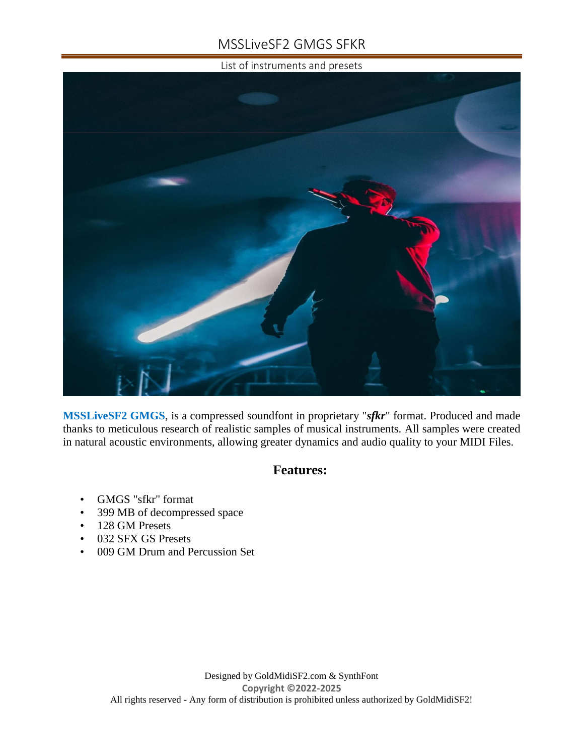# MSSLiveSF2 GMGS SFKR

List of instruments and presets



**MSSLiveSF2 GMGS**, is a compressed soundfont in proprietary "*sfkr*" format. Produced and made thanks to meticulous research of realistic samples of musical instruments. All samples were created in natural acoustic environments, allowing greater dynamics and audio quality to your MIDI Files.

## **Features:**

- GMGS "sfkr" format
- 399 MB of decompressed space
- 128 GM Presets
- 032 SFX GS Presets
- 009 GM Drum and Percussion Set